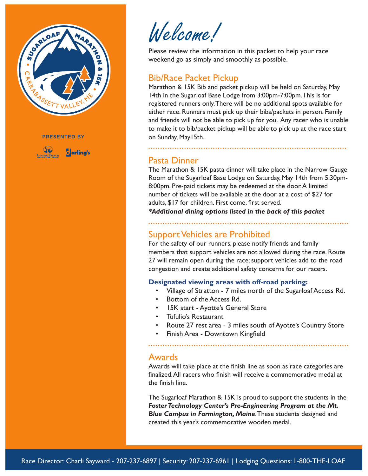

**PRESENTED BY** 



Welcome!

Please review the information in this packet to help your race weekend go as simply and smoothly as possible.

### Bib/Race Packet Pickup

Marathon & 15K Bib and packet pickup will be held on Saturday, May 14th in the Sugarloaf Base Lodge from 3:00pm-7:00pm. This is for registered runners only. There will be no additional spots available for either race. Runners must pick up their bibs/packets in person. Family and friends will not be able to pick up for you. Any racer who is unable to make it to bib/packet pickup will be able to pick up at the race start on Sunday, May15th.

#### Pasta Dinner

The Marathon & 15K pasta dinner will take place in the Narrow Gauge Room of the Sugarloaf Base Lodge on Saturday, May 14th from 5:30pm-8:00pm. Pre-paid tickets may be redeemed at the door. A limited number of tickets will be available at the door at a cost of \$27 for adults, \$17 for children. First come, first served.

*\*Additional dining options listed in the back of this packet*

# Support Vehicles are Prohibited

For the safety of our runners, please notify friends and family members that support vehicles are not allowed during the race. Route 27 will remain open during the race; support vehicles add to the road congestion and create additional safety concerns for our racers.

#### **Designated viewing areas with off-road parking:**

- Village of Stratton 7 miles north of the Sugarloaf Access Rd.
- Bottom of the Access Rd.
- 15K start Ayotte's General Store
- Tufulio's Restaurant
- Route 27 rest area 3 miles south of Ayotte's Country Store
- Finish Area Downtown Kingfield

#### Awards

Awards will take place at the finish line as soon as race categories are finalized. All racers who finish will receive a commemorative medal at the finish line.

The Sugarloaf Marathon & 15K is proud to support the students in the *Foster Technology Center's Pre-Engineering Program at the Mt. Blue Campus in Farmington, Maine*. These students designed and created this year's commemorative wooden medal.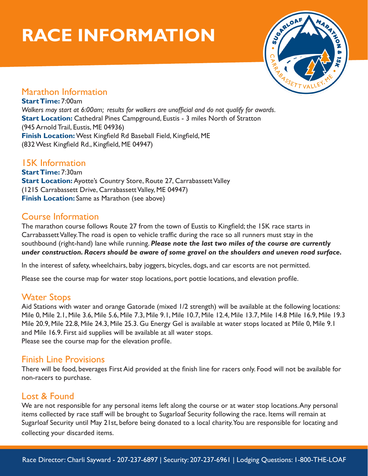# **RACE INFORMATION**



## Marathon Information

**Start Time:** 7:00am *Walkers may start at 6:00am; results for walkers are unofficial and do not qualify for awards.* **Start Location:** Cathedral Pines Campground, Eustis - 3 miles North of Stratton (945 Arnold Trail, Eustis, ME 04936) **Finish Location:** West Kingfield Rd Baseball Field, Kingfield, ME (832 West Kingfield Rd., Kingfield, ME 04947)

# 15K Information

**Start Time:** 7:30am **Start Location:** Ayotte's Country Store, Route 27, Carrabassett Valley (1215 Carrabassett Drive, Carrabassett Valley, ME 04947) **Finish Location:** Same as Marathon (see above)

# Course Information

The marathon course follows Route 27 from the town of Eustis to Kingfield; the 15K race starts in Carrabassett Valley. The road is open to vehicle traffic during the race so all runners must stay in the southbound (right-hand) lane while running. *Please note the last two miles of the course are currently under construction. Racers should be aware of some gravel on the shoulders and uneven road surface.*

In the interest of safety, wheelchairs, baby joggers, bicycles, dogs, and car escorts are not permitted.

Please see the course map for water stop locations, port pottie locations, and elevation profile.

# Water Stops

Aid Stations with water and orange Gatorade (mixed 1/2 strength) will be available at the following locations: Mile 0, Mile 2.1, Mile 3.6, Mile 5.6, Mile 7.3, Mile 9.1, Mile 10.7, Mile 12.4, Mile 13.7, Mile 14.8 Mile 16.9, Mile 19.3 Mile 20.9, Mile 22.8, Mile 24.3, Mile 25.3. Gu Energy Gel is available at water stops located at Mile 0, Mile 9.1 and Mile 16.9. First aid supplies will be available at all water stops. Please see the course map for the elevation profile.

## Finish Line Provisions

There will be food, beverages First Aid provided at the finish line for racers only. Food will not be available for non-racers to purchase.

# Lost & Found

We are not responsible for any personal items left along the course or at water stop locations. Any personal items collected by race staff will be brought to Sugarloaf Security following the race. Items will remain at Sugarloaf Security until May 21st, before being donated to a local charity. You are responsible for locating and collecting your discarded items.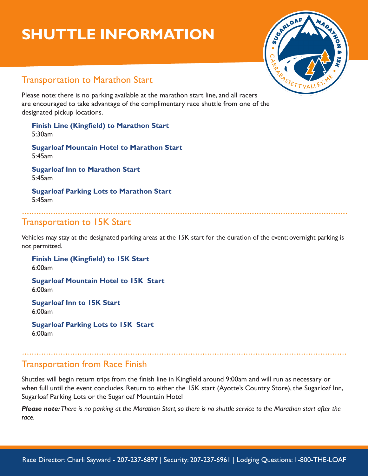# **SHUTTLE INFORMATION**



# Transportation to Marathon Start

Please note: there is no parking available at the marathon start line, and all racers are encouraged to take advantage of the complimentary race shuttle from one of the designated pickup locations.

**Finish Line (Kingfield) to Marathon Start**  5:30am

**Sugarloaf Mountain Hotel to Marathon Start**  5:45am

**Sugarloaf Inn to Marathon Start**  5:45am

**Sugarloaf Parking Lots to Marathon Start**  5:45am

## Transportation to 15K Start

Vehicles may stay at the designated parking areas at the 15K start for the duration of the event; overnight parking is not permitted.

**Finish Line (Kingfield) to 15K Start**  6:00am **Sugarloaf Mountain Hotel to 15K Start** 

6:00am

**Sugarloaf Inn to 15K Start**  6:00am

**Sugarloaf Parking Lots to 15K Start**  6:00am

# Transportation from Race Finish

Shuttles will begin return trips from the finish line in Kingfield around 9:00am and will run as necessary or when full until the event concludes. Return to either the 15K start (Ayotte's Country Store), the Sugarloaf Inn, Sugarloaf Parking Lots or the Sugarloaf Mountain Hotel

*Please note: There is no parking at the Marathon Start, so there is no shuttle service to the Marathon start after the race.*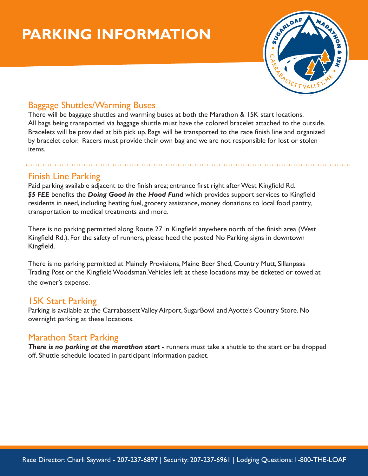# **PARKING INFORMATION**



# Baggage Shuttles/Warming Buses

There will be baggage shuttles and warming buses at both the Marathon & 15K start locations. All bags being transported via baggage shuttle must have the colored bracelet attached to the outside. Bracelets will be provided at bib pick up. Bags will be transported to the race finish line and organized by bracelet color. Racers must provide their own bag and we are not responsible for lost or stolen items.

### Finish Line Parking

Paid parking available adjacent to the finish area; entrance first right after West Kingfield Rd. *\$5 FEE* benefits the *Doing Good in the Hood Fund* which provides support services to Kingfield residents in need, including heating fuel, grocery assistance, money donations to local food pantry, transportation to medical treatments and more.

There is no parking permitted along Route 27 in Kingfield anywhere north of the finish area (West Kingfield Rd.). For the safety of runners, please heed the posted No Parking signs in downtown Kingfield.

There is no parking permitted at Mainely Provisions, Maine Beer Shed, Country Mutt, Sillanpaas Trading Post or the Kingfield Woodsman. Vehicles left at these locations may be ticketed or towed at the owner's expense.

# 15K Start Parking

Parking is available at the Carrabassett Valley Airport, SugarBowl and Ayotte's Country Store. No overnight parking at these locations.

## Marathon Start Parking

**There is no parking at the marathon start -** runners must take a shuttle to the start or be dropped off. Shuttle schedule located in participant information packet.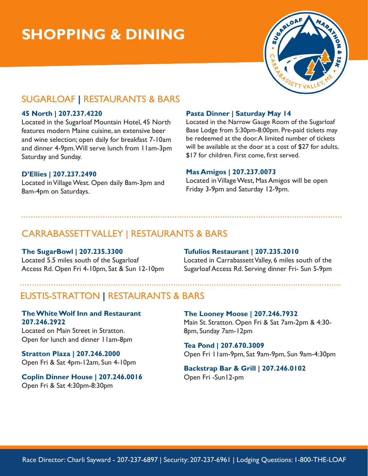# **SHOPPING & DINING**



# SUGARLOAF **|** RESTAURANTS & BARS

#### **45 North | 207.237.4220**

Located in the Sugarloaf Mountain Hotel, 45 North features modern Maine cuisine, an extensive beer and wine selection; open daily for breakfast 7-10am and dinner 4-9pm. Will serve lunch from 11am-3pm Saturday and Sunday.

#### **D'Ellies | 207.237.2490**

Located in Village West. Open daily 8am-3pm and 8am-4pm on Saturdays.

#### **Pasta Dinner | Saturday May 14**

Located in the Narrow Gauge Room of the Sugarloaf Base Lodge from 5:30pm-8:00pm. Pre-paid tickets may be redeemed at the door. A limited number of tickets will be available at the door at a cost of \$27 for adults, \$17 for children. First come, first served.

#### **Mas Amigos | 207.237.0073**

Located in Village West, Mas Amigos will be open Friday 3-9pm and Saturday 12-9pm.

# CARRABASSETT VALLEY | RESTAURANTS & BARS

#### **The SugarBowl | 207.235.3300**

Located 5.5 miles south of the Sugarloaf Access Rd. Open Fri 4-10pm, Sat & Sun 12-10pm

#### **Tufulios Restaurant | 207.235.2010**

Located in Carrabassett Valley, 6 miles south of the Sugarloaf Access Rd. Serving dinner Fri- Sun 5-9pm

## EUSTIS-STRATTON **|** RESTAURANTS & BARS

#### **The White Wolf Inn and Restaurant 207.246.2922**

Located on Main Street in Stratton. Open for lunch and dinner 11am-8pm

**Stratton Plaza | 207.246.2000** Open Fri & Sat 4pm-12am, Sun 4-10pm

#### **Coplin Dinner House | 207.246.0016**  Open Fri & Sat 4:30pm-8:30pm

**The Looney Moose | 207.246.7932** Main St. Stratton. Open Fri & Sat 7am-2pm & 4:30- 8pm, Sunday 7am-12pm

**Tea Pond | 207.670.3009** Open Fri 11am-9pm, Sat 9am-9pm, Sun 9am-4:30pm

#### **Backstrap Bar & Grill | 207.246.0102**  Open Fri -Sun12-pm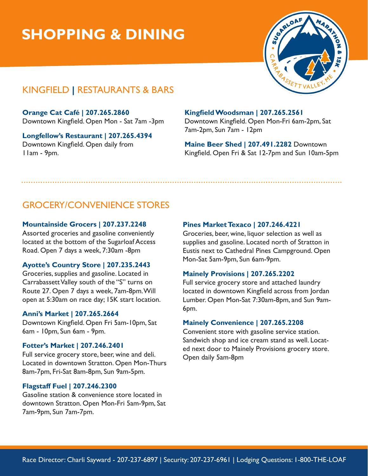# **SHOPPING & DINING**



# KINGFIELD **|** RESTAURANTS & BARS

**Orange Cat Café | 207.265.2860** Downtown Kingfield. Open Mon - Sat 7am -3pm

**Longfellow's Restaurant | 207.265.4394** Downtown Kingfield. Open daily from 11am - 9pm.

#### **Kingfield Woodsman | 207.265.2561**

Downtown Kingfield. Open Mon-Fri 6am-2pm, Sat 7am-2pm, Sun 7am - 12pm

**Maine Beer Shed | 207.491.2282** Downtown Kingfield. Open Fri & Sat 12-7pm and Sun 10am-5pm

# GROCERY/CONVENIENCE STORES

#### **Mountainside Grocers | 207.237.2248**

Assorted groceries and gasoline conveniently located at the bottom of the Sugarloaf Access Road. Open 7 days a week, 7:30am -8pm

#### **Ayotte's Country Store | 207.235.2443**

Groceries, supplies and gasoline. Located in Carrabassett Valley south of the "S" turns on Route 27. Open 7 days a week, 7am-8pm. Will open at 5:30am on race day; 15K start location.

#### **Anni's Market | 207.265.2664**

Downtown Kingfield. Open Fri 5am-10pm, Sat 6am - 10pm, Sun 6am - 9pm.

#### **Fotter's Market | 207.246.2401**

Full service grocery store, beer, wine and deli. Located in downtown Stratton. Open Mon-Thurs 8am-7pm, Fri-Sat 8am-8pm, Sun 9am-5pm.

#### **Flagstaff Fuel | 207.246.2300**

Gasoline station & convenience store located in downtown Stratton. Open Mon-Fri 5am-9pm, Sat 7am-9pm, Sun 7am-7pm.

#### **Pines Market Texaco | 207.246.4221**

Groceries, beer, wine, liquor selection as well as supplies and gasoline. Located north of Stratton in Eustis next to Cathedral Pines Campground. Open Mon-Sat 5am-9pm, Sun 6am-9pm.

#### **Mainely Provisions | 207.265.2202**

Full service grocery store and attached laundry located in downtown Kingfield across from Jordan Lumber. Open Mon-Sat 7:30am-8pm, and Sun 9am-6pm.

#### **Mainely Convenience | 207.265.2208**

Convenient store with gasoline service station. Sandwich shop and ice cream stand as well. Located next door to Mainely Provisions grocery store. Open daily 5am-8pm